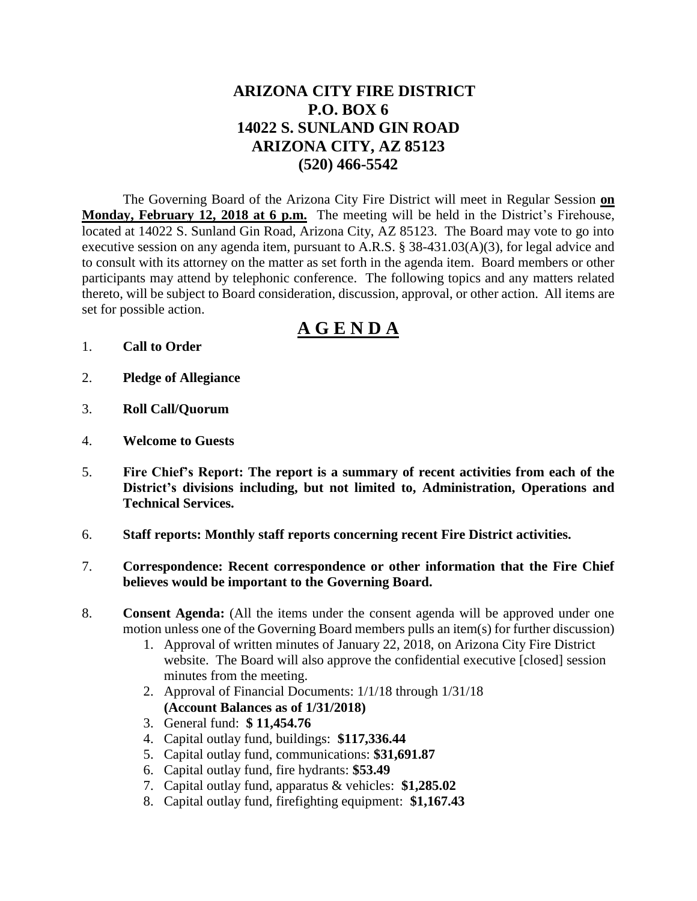# **ARIZONA CITY FIRE DISTRICT P.O. BOX 6 14022 S. SUNLAND GIN ROAD ARIZONA CITY, AZ 85123 (520) 466-5542**

The Governing Board of the Arizona City Fire District will meet in Regular Session **on Monday, February 12, 2018 at 6 p.m.** The meeting will be held in the District's Firehouse, located at 14022 S. Sunland Gin Road, Arizona City, AZ 85123. The Board may vote to go into executive session on any agenda item, pursuant to A.R.S. § 38-431.03(A)(3), for legal advice and to consult with its attorney on the matter as set forth in the agenda item. Board members or other participants may attend by telephonic conference. The following topics and any matters related thereto, will be subject to Board consideration, discussion, approval, or other action. All items are set for possible action.

# **A G E N D A**

- 1. **Call to Order**
- 2. **Pledge of Allegiance**
- 3. **Roll Call/Quorum**
- 4. **Welcome to Guests**
- 5. **Fire Chief's Report: The report is a summary of recent activities from each of the District's divisions including, but not limited to, Administration, Operations and Technical Services.**
- 6. **Staff reports: Monthly staff reports concerning recent Fire District activities.**
- 7. **Correspondence: Recent correspondence or other information that the Fire Chief believes would be important to the Governing Board.**
- 8. **Consent Agenda:** (All the items under the consent agenda will be approved under one motion unless one of the Governing Board members pulls an item(s) for further discussion)
	- 1. Approval of written minutes of January 22, 2018, on Arizona City Fire District website. The Board will also approve the confidential executive [closed] session minutes from the meeting.
	- 2. Approval of Financial Documents: 1/1/18 through 1/31/18 **(Account Balances as of 1/31/2018)**
	- 3. General fund: **\$ 11,454.76**
	- 4. Capital outlay fund, buildings: **\$117,336.44**
	- 5. Capital outlay fund, communications: **\$31,691.87**
	- 6. Capital outlay fund, fire hydrants: **\$53.49**
	- 7. Capital outlay fund, apparatus & vehicles: **\$1,285.02**
	- 8. Capital outlay fund, firefighting equipment: **\$1,167.43**